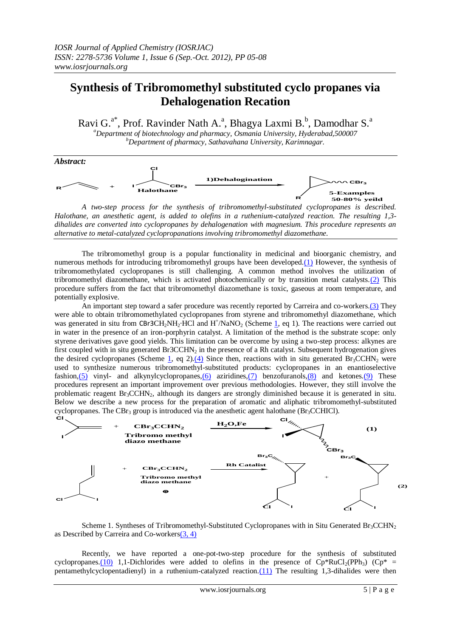## **Synthesis of Tribromomethyl substituted cyclo propanes via Dehalogenation Recation**

Ravi G.<sup>a\*</sup>, Prof. Ravinder Nath A.<sup>a</sup>, Bhagya Laxmi B.<sup>b</sup>, Damodhar S.<sup>a</sup>

*<sup>a</sup>Department of biotechnology and pharmacy, Osmania University, Hyderabad,500007 <sup>b</sup>Department of pharmacy, Sathavahana University, Karimnagar.*



*A two-step process for the synthesis of tribromomethyl-substituted cyclopropanes is described. Halothane, an anesthetic agent, is added to olefins in a ruthenium-catalyzed reaction. The resulting 1,3 dihalides are converted into cyclopropanes by dehalogenation with magnesium. This procedure represents an alternative to metal-catalyzed cyclopropanations involving tribromomethyl diazomethane.*

The tribromomethyl group is a popular functionality in medicinal and bioorganic chemistry, and numerous methods for introducing tribromomethyl groups have been developed[.\(1\)](javascript:void(0);) However, the synthesis of tribromomethylated cyclopropanes is still challenging. A common method involves the utilization of tribromomethyl diazomethane, which is activated photochemically or by transition metal catalysts[.\(2\)](javascript:void(0);) This procedure suffers from the fact that tribromomethyl diazomethane is toxic, gaseous at room temperature, and potentially explosive.

An important step toward a safer procedure was recently reported by Carreira and co-worker[s.\(3\)](javascript:void(0);) They were able to obtain tribromomethylated cyclopropanes from styrene and tribromomethyl diazomethane, which was generated in situ from CBr3CH<sub>2</sub>NH<sub>2</sub>·HCl and  $H^+$ /NaNO<sub>2</sub> (Scheme  $\underline{1}$ , eq 1). The reactions were carried out in water in the presence of an iron-porphyrin catalyst. A limitation of the method is the substrate scope: only styrene derivatives gave good yields. This limitation can be overcome by using a two-step process: alkynes are first coupled with in situ generated Br3CCHN<sub>2</sub> in the presence of a Rh catalyst. Subsequent hydrogenation gives the desired cyclopropanes (Scheme [1,](http://pubs.acs.org/doi/full/10.1021/ol3011369#sch1) eq 2[\).\(4\)](javascript:void(0);) Since then, reactions with in situ generated  $Br_3CCHN_2$  were used to synthesize numerous tribromomethyl-substituted products: cyclopropanes in an enantioselective fashion, $(5)$  vinyl- and alkynylcyclopropanes, $(6)$  aziridines, $(7)$  benzofuranols, $(8)$  and ketones. $(9)$  These procedures represent an important improvement over previous methodologies. However, they still involve the problematic reagent Br<sub>3</sub>CCHN<sub>2</sub>, although its dangers are strongly diminished because it is generated in situ. Below we describe a new process for the preparation of aromatic and aliphatic tribromomethyl-substituted cyclopropanes. The CBr<sub>3</sub> group is introduced via the anesthetic agent halothane (Br<sub>3</sub>CCHICl). **Cl**



Scheme 1. Syntheses of Tribromomethyl-Substituted Cyclopropanes with in Situ Generated  $Br_3CCHN_2$ as Described by Carreira and Co-worker[s\(3, 4\)](javascript:void(0);)

Recently, we have reported a one-pot-two-step procedure for the synthesis of substituted cyclopropanes[.\(10\)](javascript:void(0);) 1,1-Dichlorides were added to olefins in the presence of  $Cp*RuCl<sub>2</sub>(PPh<sub>3</sub>)$  ( $Cp* =$ pentamethylcyclopentadienyl) in a ruthenium-catalyzed reaction[.\(11\)](javascript:void(0);) The resulting 1,3-dihalides were then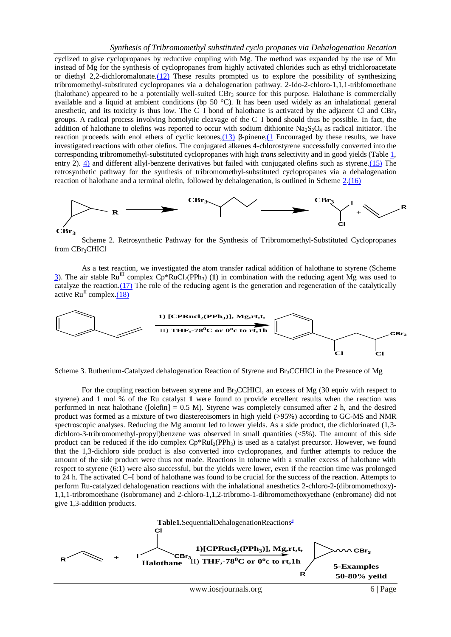cyclized to give cyclopropanes by reductive coupling with Mg. The method was expanded by the use of Mn instead of Mg for the synthesis of cyclopropanes from highly activated chlorides such as ethyl trichloroacetate or diethyl 2,2-dichloromalonate[.\(12\)](javascript:void(0);) These results prompted us to explore the possibility of synthesizing tribromomethyl-substituted cyclopropanes via a dehalogenation pathway. 2-Ido-2-chloro-1,1,1-tribfomoethane (halothane) appeared to be a potentially well-suited  $CBr<sub>3</sub>$  source for this purpose. Halothane is commercially available and a liquid at ambient conditions (bp  $50^{\circ}$ C). It has been used widely as an inhalational general anesthetic, and its toxicity is thus low. The C–I bond of halothane is activated by the adjacent Cl and CBr<sup>3</sup> groups. A radical process involving homolytic cleavage of the C–I bond should thus be possible. In fact, the addition of halothane to olefins was reported to occur with sodium dithionite  $Na_2S_2O_4$  as radical initiator. The reaction proceeds with enol ethers of cyclic ketones, $(13)$  β-pinene, $(1)$  Encouraged by these results, we have [investigated reactions with other olefins. The conjugated alkenes 4-chlorostyrene successfully converted into the](javascript:void(0);)  [corresponding tribromomethyl-substituted cyclopropanes with high](javascript:void(0);) *trans* selectivity and in good yields (Table [1,](javascript:void(0);) [entry 2\). 4\)](javascript:void(0);) and different allyl-benzene derivatives but failed with conjugated olefins such as styrene[.\(15\)](javascript:void(0);) The retrosynthetic pathway for the synthesis of tribromomethyl-substituted cyclopropanes via a dehalogenation reaction of halothane and a terminal olefin, followed by dehalogenation, is outlined in Scheme [2.](http://pubs.acs.org/doi/full/10.1021/ol3011369#sch2)[\(16\)](javascript:void(0);)



Scheme 2. Retrosynthetic Pathway for the Synthesis of Tribromomethyl-Substituted Cyclopropanes from CBr<sub>3</sub>CHICl

As a test reaction, we investigated the atom transfer radical addition of halothane to styrene (Scheme [3\)](http://pubs.acs.org/doi/full/10.1021/ol3011369#sch3). The air stable  $Ru^{III}$  complex  $Cp*RuCl<sub>2</sub>(PPh<sub>3</sub>)$  (1) in combination with the reducing agent Mg was used to catalyze the reaction. $(17)$  The role of the reducing agent is the generation and regeneration of the catalytically active  $Ru^{II}$  complex[.\(18\)](javascript:void(0);)



Scheme 3. Ruthenium-Catalyzed dehalogenation Reaction of Styrene and Br<sub>3</sub>CCHICl in the Presence of Mg

For the coupling reaction between styrene and Br<sub>3</sub>CCHICl, an excess of Mg (30 equiv with respect to styrene) and 1 mol % of the Ru catalyst **1** were found to provide excellent results when the reaction was performed in neat halothane ( $\text{[olefin]} = 0.5 \text{ M}$ ). Styrene was completely consumed after 2 h, and the desired product was formed as a mixture of two diastereoisomers in high yield (>95%) according to GC-MS and NMR spectroscopic analyses. Reducing the Mg amount led to lower yields. As a side product, the dichlorinated (1,3 dichloro-3-tribromomethyl-propyl)benzene was observed in small quantities (<5%). The amount of this side product can be reduced if the ido complex  $Cp*RuI_2(PPh_3)$  is used as a catalyst precursor. However, we found that the 1,3-dichloro side product is also converted into cyclopropanes, and further attempts to reduce the amount of the side product were thus not made. Reactions in toluene with a smaller excess of halothane with respect to styrene (6:1) were also successful, but the yields were lower, even if the reaction time was prolonged to 24 h. The activated C–I bond of halothane was found to be crucial for the success of the reaction. Attempts to perform Ru-catalyzed dehalogenation reactions with the inhalational anesthetics 2-chloro-2-(dibromomethoxy)- 1,1,1-tribromoethane (isobromane) and 2-chloro-1,1,2-tribromo-1-dibromomethoxyethane (enbromane) did not give 1,3-addition products.



www.iosrjournals.org 6 | Page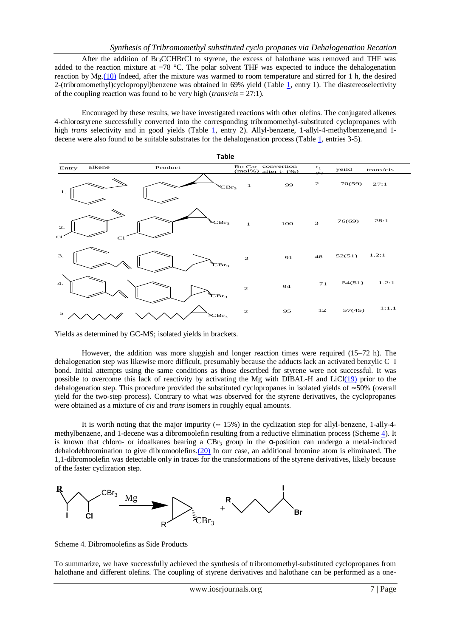After the addition of  $Br_3CCHBrCl$  to styrene, the excess of halothane was removed and THF was added to the reaction mixture at −78 °C. The polar solvent THF was expected to induce the dehalogenation reaction by M[g.\(10\)](javascript:void(0);) Indeed, after the mixture was warmed to room temperature and stirred for 1 h, the desired 2-(tribromomethyl)cyclopropyl)benzene was obtained in 69% yield (Table [1,](http://pubs.acs.org/doi/full/10.1021/ol3011369#tbl1) entry 1). The diastereoselectivity of the coupling reaction was found to be very high (*trans*/*cis* = 27:1).

Encouraged by these results, we have investigated reactions with other olefins. The conjugated alkenes 4-chlorostyrene successfully converted into the corresponding tribromomethyl-substituted cyclopropanes with high *trans* selectivity and in good yields (Table [1,](http://pubs.acs.org/doi/full/10.1021/ol3011369#tbl1) entry 2). Allyl-benzene, 1-allyl-4-methylbenzene, and 1decene were also found to be suitable substrates for the dehalogenation process (Table [1,](http://pubs.acs.org/doi/full/10.1021/ol3011369#tbl1) entries 3-5).



Yields as determined by GC-MS; isolated yields in brackets.

However, the addition was more sluggish and longer reaction times were required (15–72 h). The dehalogenation step was likewise more difficult, presumably because the adducts lack an activated benzylic C–I bond. Initial attempts using the same conditions as those described for styrene were not successful. It was possible to overcome this lack of reactivity by activating the Mg with DIBAL-H and LiC[l\(19\)](javascript:void(0);) prior to the dehalogenation step. This procedure provided the substituted cyclopropanes in isolated yields of  $~50\%$  (overall yield for the two-step process). Contrary to what was observed for the styrene derivatives, the cyclopropanes were obtained as a mixture of *cis* and *trans* isomers in roughly equal amounts.

It is worth noting that the major impurity  $( \sim 15\%)$  in the cyclization step for allyl-benzene, 1-ally-4methylbenzene, and 1-decene was a dibromoolefin resulting from a reductive elimination process (Scheme [4\)](http://pubs.acs.org/doi/full/10.1021/ol3011369#sch4). It is known that chloro- or idoalkanes bearing a CBr<sub>3</sub> group in the  $\alpha$ -position can undergo a metal-induced dehalodebbromination to give dibromoolefins[.\(20\)](javascript:void(0);) In our case, an additional bromine atom is eliminated. The 1,1-dibromoolefin was detectable only in traces for the transformations of the styrene derivatives, likely because of the faster cyclization step.



Scheme 4. Dibromoolefins as Side Products

To summarize, we have successfully achieved the synthesis of tribromomethyl-substituted cyclopropanes from halothane and different olefins. The coupling of styrene derivatives and halothane can be performed as a one